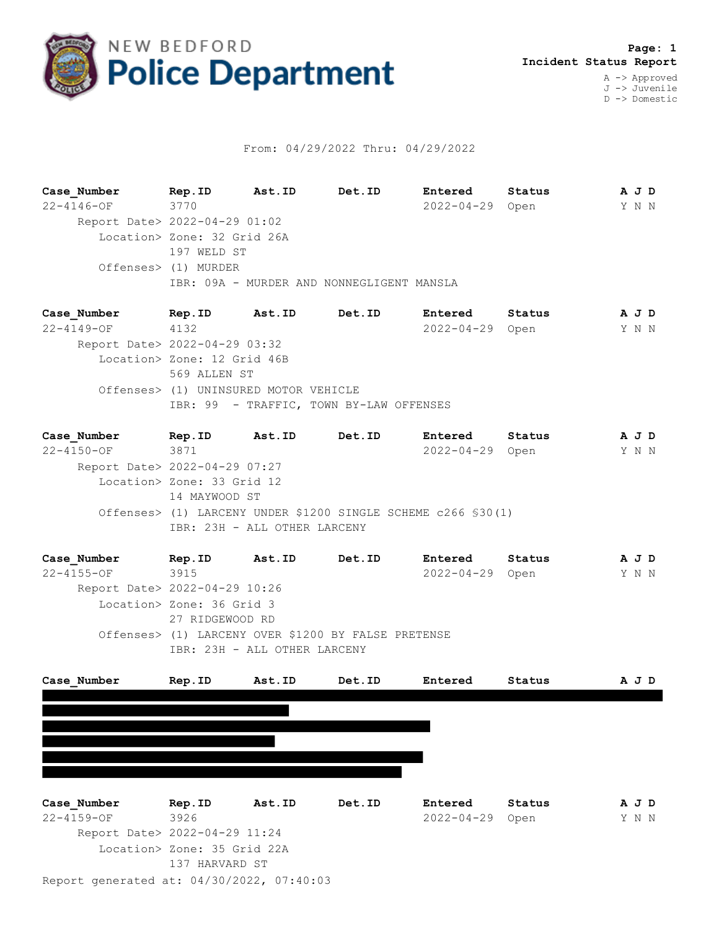

## From: 04/29/2022 Thru: 04/29/2022

**Case\_Number Rep.ID Ast.ID Det.ID Entered Status A J D** 22-4146-OF 3770 2022-04-29 Open Y N N Report Date> 2022-04-29 01:02 Location> Zone: 32 Grid 26A 197 WELD ST Offenses> (1) MURDER IBR: 09A - MURDER AND NONNEGLIGENT MANSLA

**Case\_Number Rep.ID Ast.ID Det.ID Entered Status A J D** 22-4149-OF 4132 2022-04-29 Open Y N N Report Date> 2022-04-29 03:32 Location> Zone: 12 Grid 46B 569 ALLEN ST Offenses> (1) UNINSURED MOTOR VEHICLE IBR: 99 - TRAFFIC, TOWN BY-LAW OFFENSES

**Case\_Number Rep.ID Ast.ID Det.ID Entered Status A J D** 22-4150-OF 3871 2022-04-29 Open Y N N Report Date> 2022-04-29 07:27 Location> Zone: 33 Grid 12 14 MAYWOOD ST Offenses> (1) LARCENY UNDER \$1200 SINGLE SCHEME c266 §30(1) IBR: 23H - ALL OTHER LARCENY

**Case\_Number Rep.ID Ast.ID Det.ID Entered Status A J D** 22-4155-OF 3915 2022-04-29 Open Y N N Report Date> 2022-04-29 10:26 Location> Zone: 36 Grid 3 27 RIDGEWOOD RD Offenses> (1) LARCENY OVER \$1200 BY FALSE PRETENSE IBR: 23H - ALL OTHER LARCENY



Report generated at: 04/30/2022, 07:40:03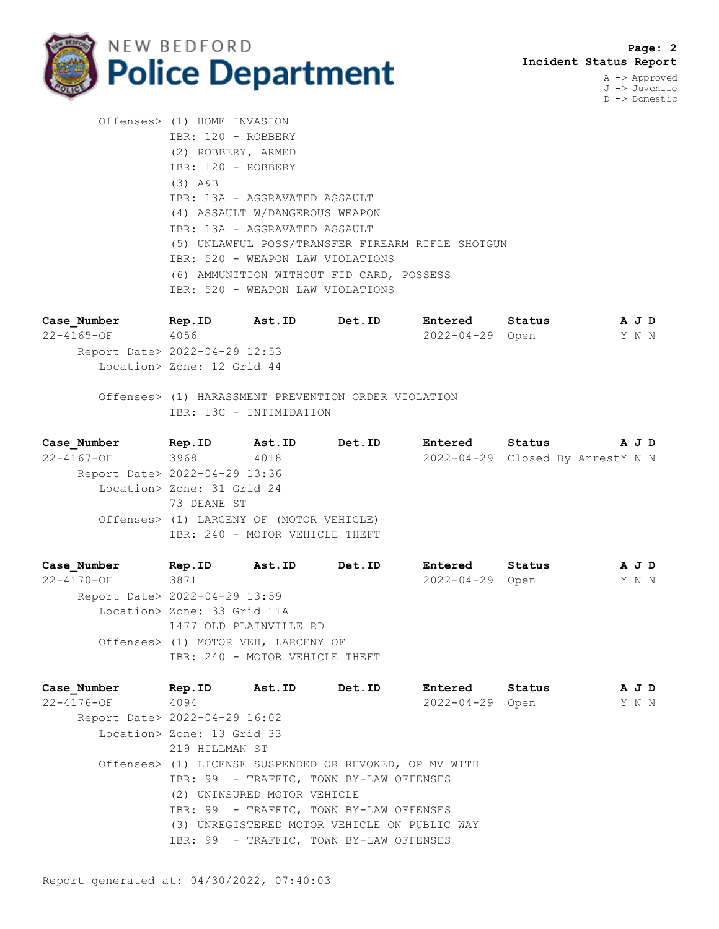

J -> Juvenile D -> Domestic

 Offenses> (1) HOME INVASION IBR: 120 - ROBBERY (2) ROBBERY, ARMED IBR: 120 - ROBBERY (3) A&B IBR: 13A - AGGRAVATED ASSAULT (4) ASSAULT W/DANGEROUS WEAPON IBR: 13A - AGGRAVATED ASSAULT (5) UNLAWFUL POSS/TRANSFER FIREARM RIFLE SHOTGUN IBR: 520 - WEAPON LAW VIOLATIONS (6) AMMUNITION WITHOUT FID CARD, POSSESS IBR: 520 - WEAPON LAW VIOLATIONS

**Case\_Number Rep.ID Ast.ID Det.ID Entered Status A J D** 22-4165-OF 4056 2022-04-29 Open Y N N Report Date> 2022-04-29 12:53 Location> Zone: 12 Grid 44

 Offenses> (1) HARASSMENT PREVENTION ORDER VIOLATION IBR: 13C - INTIMIDATION

**Case\_Number Rep.ID Ast.ID Det.ID Entered Status A J D** 22-4167-OF 3968 4018 2022-04-29 Closed By ArrestY N N Report Date> 2022-04-29 13:36 Location> Zone: 31 Grid 24 73 DEANE ST Offenses> (1) LARCENY OF (MOTOR VEHICLE) IBR: 240 - MOTOR VEHICLE THEFT

**Case\_Number Rep.ID Ast.ID Det.ID Entered Status A J D** 22-4170-OF 3871 2022-04-29 Open Y N N Report Date> 2022-04-29 13:59 Location> Zone: 33 Grid 11A 1477 OLD PLAINVILLE RD Offenses> (1) MOTOR VEH, LARCENY OF IBR: 240 - MOTOR VEHICLE THEFT

**Case\_Number Rep.ID Ast.ID Det.ID Entered Status A J D** 22-4176-OF 4094 2022-04-29 Open Y N N Report Date> 2022-04-29 16:02 Location> Zone: 13 Grid 33 219 HILLMAN ST Offenses> (1) LICENSE SUSPENDED OR REVOKED, OP MV WITH IBR: 99 - TRAFFIC, TOWN BY-LAW OFFENSES (2) UNINSURED MOTOR VEHICLE IBR: 99 - TRAFFIC, TOWN BY-LAW OFFENSES (3) UNREGISTERED MOTOR VEHICLE ON PUBLIC WAY IBR: 99 - TRAFFIC, TOWN BY-LAW OFFENSES